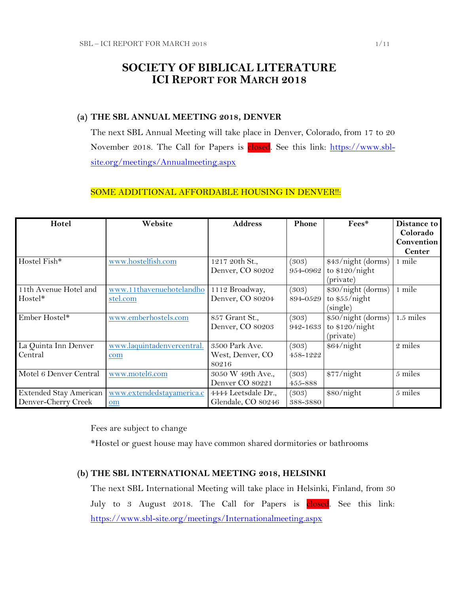## **SOCIETY OF BIBLICAL LITERATURE ICI REPORT FOR MARCH 2018**

## **(a) THE SBL ANNUAL MEETING 2018, DENVER**

The next SBL Annual Meeting will take place in Denver, Colorado, from 17 to 20 November 2018. The Call for Papers is closed. See this link: [https://www.sbl](https://www.sbl-site.org/meetings/Annualmeeting.aspx)[site.org/meetings/Annualmeeting.aspx](https://www.sbl-site.org/meetings/Annualmeeting.aspx)

### SOME ADDITIONAL AFFORDABLE HOUSING IN DENVER!!:

| Hotel                         | Website                    | <b>Address</b>      | Phone    | Fees*              | Distance to   |
|-------------------------------|----------------------------|---------------------|----------|--------------------|---------------|
|                               |                            |                     |          |                    | Colorado      |
|                               |                            |                     |          |                    | Convention    |
|                               |                            |                     |          |                    | <b>Center</b> |
| Hostel Fish*                  | www.hostelfish.com         | 1217 20th St.,      | (303)    | \$43/night (dorms) | 1 mile        |
|                               |                            | Denver, CO 80202    | 954-0962 | to $$120/night$    |               |
|                               |                            |                     |          | (private)          |               |
| 11th Avenue Hotel and         | www.11thavenuehotelandho   | 1112 Broadway,      | (303)    | \$30/night (dorms) | 1 mile        |
| Hostel*                       | stel.com                   | Denver, CO 80204    | 894-0529 | to \$55/night      |               |
|                               |                            |                     |          | (single)           |               |
| Ember Hostel*                 | www.emberhostels.com       | 857 Grant St.,      | (303)    | \$50/night (dorms) | $1.5$ miles   |
|                               |                            | Denver, CO 80203    | 942-1633 | to \$120/night     |               |
|                               |                            |                     |          | (private)          |               |
| La Quinta Inn Denver          | www.laquintadenvercentral. | 3500 Park Ave.      | (303)    | \$64/night         | 2 miles       |
| Central                       | com                        | West, Denver, CO    | 458-1222 |                    |               |
|                               |                            | 80216               |          |                    |               |
| Motel 6 Denver Central        | www.motel6.com             | 3050 W 49th Ave.,   | (303)    | \$77/night         | 5 miles       |
|                               |                            | Denver CO 80221     | 455-888  |                    |               |
| <b>Extended Stay American</b> | www.extendedstayamerica.c  | 4444 Leetsdale Dr., | (303)    | \$80/night         | 5 miles       |
| Denver-Cherry Creek           | om                         | Glendale, CO 80246  | 388-3880 |                    |               |

Fees are subject to change

\*Hostel or guest house may have common shared dormitories or bathrooms

### **(b) THE SBL INTERNATIONAL MEETING 2018, HELSINKI**

The next SBL International Meeting will take place in Helsinki, Finland, from 30 July to 3 August 2018. The Call for Papers is closed. See this link: <https://www.sbl-site.org/meetings/Internationalmeeting.aspx>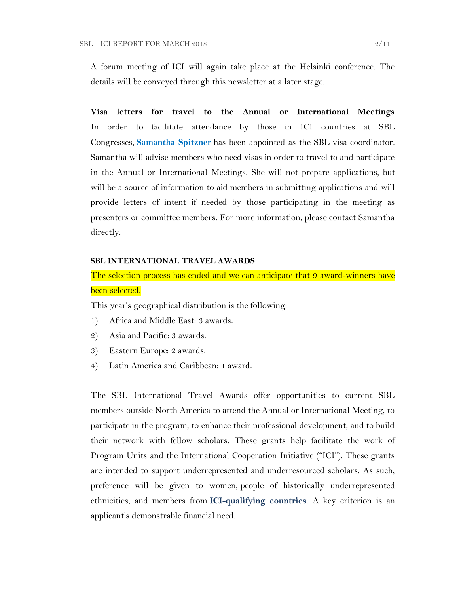A forum meeting of ICI will again take place at the Helsinki conference. The details will be conveyed through this newsletter at a later stage.

**Visa letters for travel to the Annual or International Meetings** In order to facilitate attendance by those in ICI countries at SBL Congresses, **[Samantha Spitzner](mailto:samantha.spitzner@sbl-site.org)** has been appointed as the SBL visa coordinator. Samantha will advise members who need visas in order to travel to and participate in the Annual or International Meetings. She will not prepare applications, but will be a source of information to aid members in submitting applications and will provide letters of intent if needed by those participating in the meeting as presenters or committee members. For more information, please contact Samantha directly.

### **SBL INTERNATIONAL TRAVEL AWARDS**

The selection process has ended and we can anticipate that 9 award-winners have been selected.

This year's geographical distribution is the following:

- 1) Africa and Middle East: 3 awards.
- 2) Asia and Pacific: 3 awards.
- 3) Eastern Europe: 2 awards.
- 4) Latin America and Caribbean: 1 award.

The SBL International Travel Awards offer opportunities to current SBL members outside North America to attend the Annual or International Meeting, to participate in the program, to enhance their professional development, and to build their network with fellow scholars. These grants help facilitate the work of Program Units and the International Cooperation Initiative ("ICI"). These grants are intended to support underrepresented and underresourced scholars. As such, preference will be given to women, people of historically underrepresented ethnicities, and members from **[ICI-qualifying countries](https://www.sbl-site.org/assets/pdfs/ICIcountries.pdf)**. A key criterion is an applicant's demonstrable financial need.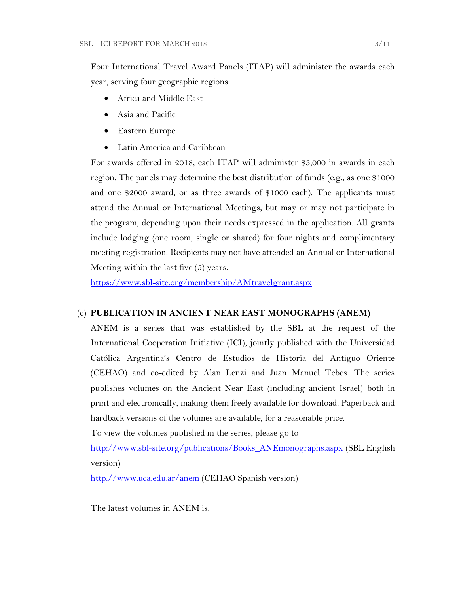Four International Travel Award Panels (ITAP) will administer the awards each year, serving four geographic regions:

- Africa and Middle East
- Asia and Pacific
- Eastern Europe
- Latin America and Caribbean

For awards offered in 2018, each ITAP will administer \$3,000 in awards in each region. The panels may determine the best distribution of funds (e.g., as one \$1000 and one \$2000 award, or as three awards of \$1000 each). The applicants must attend the Annual or International Meetings, but may or may not participate in the program, depending upon their needs expressed in the application. All grants include lodging (one room, single or shared) for four nights and complimentary meeting registration. Recipients may not have attended an Annual or International Meeting within the last five (5) years.

<https://www.sbl-site.org/membership/AMtravelgrant.aspx>

### (c) **PUBLICATION IN [ANCIENT NEAR EAST MONOGRAPHS](http://www.sbl-site.org/publications/Books_ANEmonographs.aspx) (ANEM)**

ANEM is a series that was established by the SBL at the request of the International Cooperation Initiative (ICI), jointly published with the Universidad Católica Argentina's Centro de Estudios de Historia del Antiguo Oriente (CEHAO) and co-edited by Alan Lenzi and Juan Manuel Tebes. The series publishes volumes on the Ancient Near East (including ancient Israel) both in print and electronically, making them freely available for download. Paperback and hardback versions of the volumes are available, for a reasonable price.

To view the volumes published in the series, please go to

[http://www.sbl-site.org/publications/Books\\_ANEmonographs.aspx](http://www.sbl-site.org/publications/Books_ANEmonographs.aspx) (SBL English version)

<http://www.uca.edu.ar/anem> (CEHAO Spanish version)

The latest volumes in ANEM is: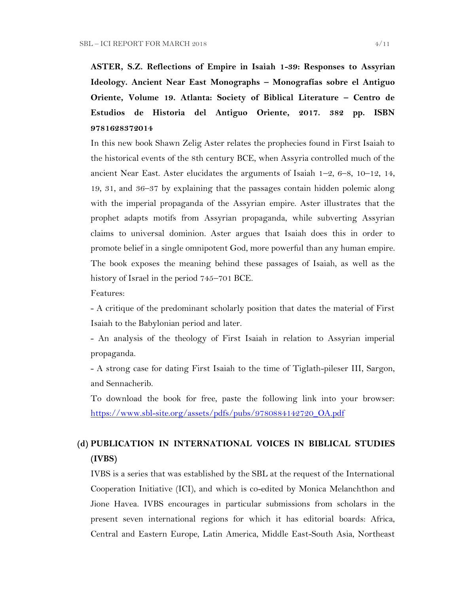**ASTER, S.Z. Reflections of Empire in Isaiah 1-39: Responses to Assyrian Ideology. Ancient Near East Monographs – Monografías sobre el Antiguo Oriente, Volume 19. Atlanta: Society of Biblical Literature – Centro de Estudios de Historia del Antiguo Oriente, 2017. 382 pp. ISBN 9781628372014**

In this new book Shawn Zelig Aster relates the prophecies found in First Isaiah to the historical events of the 8th century BCE, when Assyria controlled much of the ancient Near East. Aster elucidates the arguments of Isaiah 1–2, 6–8, 10–12, 14, 19, 31, and 36–37 by explaining that the passages contain hidden polemic along with the imperial propaganda of the Assyrian empire. Aster illustrates that the prophet adapts motifs from Assyrian propaganda, while subverting Assyrian claims to universal dominion. Aster argues that Isaiah does this in order to promote belief in a single omnipotent God, more powerful than any human empire. The book exposes the meaning behind these passages of Isaiah, as well as the history of Israel in the period 745–701 BCE.

Features:

- A critique of the predominant scholarly position that dates the material of First Isaiah to the Babylonian period and later.

- An analysis of the theology of First Isaiah in relation to Assyrian imperial propaganda.

- A strong case for dating First Isaiah to the time of Tiglath-pileser III, Sargon, and Sennacherib.

To download the book for free, paste the following link into your browser: [https://www.sbl-site.org/assets/pdfs/pubs/9780884142720\\_OA.pdf](https://www.sbl-site.org/assets/pdfs/pubs/9780884142720_OA.pdf)

# **(d) PUBLICATION IN INTERNATIONAL VOICES IN BIBLICAL STUDIES (IVBS)**

IVBS is a series that was established by the SBL at the request of the International Cooperation Initiative (ICI), and which is co-edited by Monica Melanchthon and Jione Havea. IVBS encourages in particular submissions from scholars in the present seven international regions for which it has editorial boards: Africa, Central and Eastern Europe, Latin America, Middle East-South Asia, Northeast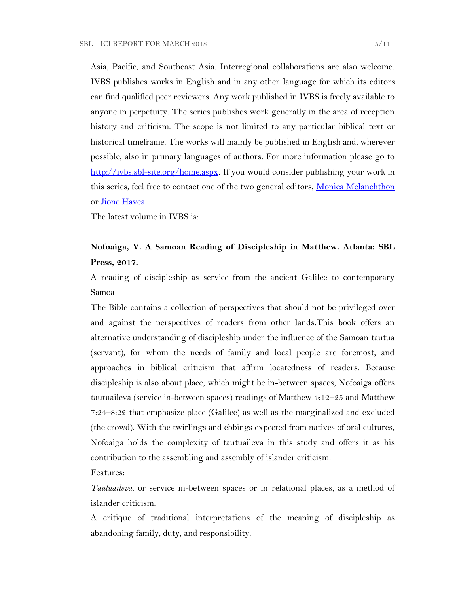Asia, Pacific, and Southeast Asia. Interregional collaborations are also welcome. IVBS publishes works in English and in any other language for which its editors can find qualified peer reviewers. Any work published in IVBS is freely available to anyone in perpetuity. The series publishes work generally in the area of reception history and criticism. The scope is not limited to any particular biblical text or historical timeframe. The works will mainly be published in English and, wherever possible, also in primary languages of authors. For more information please go to [http://ivbs.sbl-site.org/home.aspx.](http://ivbs.sbl-site.org/home.aspx) If you would consider publishing your work in this series, feel free to contact one of the two general editors, [Monica Melanchthon](mailto:ivbs2010@gmail.com) or [Jione Havea.](mailto:jioneh@nsw.uca.org.au)

The latest volume in IVBS is:

## **Nofoaiga, V. A Samoan Reading of Discipleship in Matthew. Atlanta: SBL Press, 2017.**

A reading of discipleship as service from the ancient Galilee to contemporary Samoa

The Bible contains a collection of perspectives that should not be privileged over and against the perspectives of readers from other lands.This book offers an alternative understanding of discipleship under the influence of the Samoan tautua (servant), for whom the needs of family and local people are foremost, and approaches in biblical criticism that affirm locatedness of readers. Because discipleship is also about place, which might be in-between spaces, Nofoaiga offers tautuaileva (service in-between spaces) readings of Matthew 4:12–25 and Matthew 7:24–8:22 that emphasize place (Galilee) as well as the marginalized and excluded (the crowd). With the twirlings and ebbings expected from natives of oral cultures, Nofoaiga holds the complexity of tautuaileva in this study and offers it as his contribution to the assembling and assembly of islander criticism.

Features:

*Tautuaileva*, or service in-between spaces or in relational places, as a method of islander criticism.

A critique of traditional interpretations of the meaning of discipleship as abandoning family, duty, and responsibility.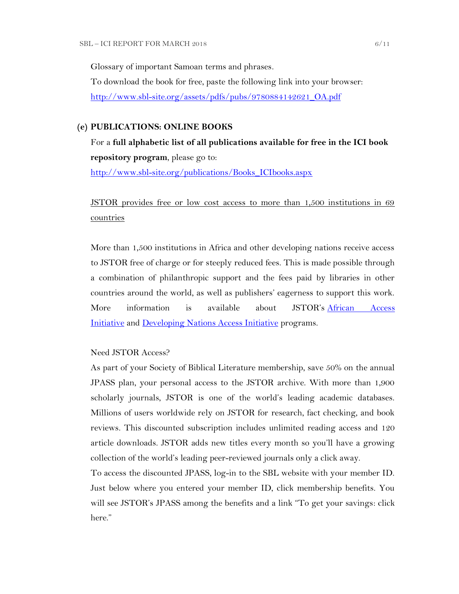Glossary of important Samoan terms and phrases. To download the book for free, paste the following link into your browser: [http://www.sbl-site.org/assets/pdfs/pubs/9780884142621\\_OA.pdf](http://www.sbl-site.org/assets/pdfs/pubs/9780884142621_OA.pdf)

#### **(e) PUBLICATIONS: ONLINE BOOKS**

For a **full alphabetic list of all publications available for free in the ICI book repository program**, please go to:

[http://www.sbl-site.org/publications/Books\\_ICIbooks.aspx](http://www.sbl-site.org/publications/Books_ICIbooks.aspx)

JSTOR provides free or low cost access to more than 1,500 institutions in 69 countries

More than 1,500 institutions in Africa and other developing nations receive access to JSTOR free of charge or for steeply reduced fees. This is made possible through a combination of philanthropic support and the fees paid by libraries in other countries around the world, as well as publishers' eagerness to support this work. More information is available about JSTOR's [African Access](http://about.jstor.org/libraries/african-access-initiative)  [Initiative](http://about.jstor.org/libraries/african-access-initiative) and [Developing Nations Access Initiative](http://about.jstor.org/libraries/developing-nations-access-initiative) programs.

#### Need JSTOR Access?

As part of your Society of Biblical Literature membership, save 50% on the annual JPASS plan, your personal access to the JSTOR archive. With more than 1,900 scholarly journals, JSTOR is one of the world's leading academic databases. Millions of users worldwide rely on JSTOR for research, fact checking, and book reviews. This discounted subscription includes unlimited reading access and 120 article downloads. JSTOR adds new titles every month so you'll have a growing collection of the world's leading peer-reviewed journals only a click away.

To access the discounted JPASS, log-in to the SBL website with your member ID. Just below where you entered your member ID, click membership benefits. You will see JSTOR's JPASS among the benefits and a link "To get your savings: click here."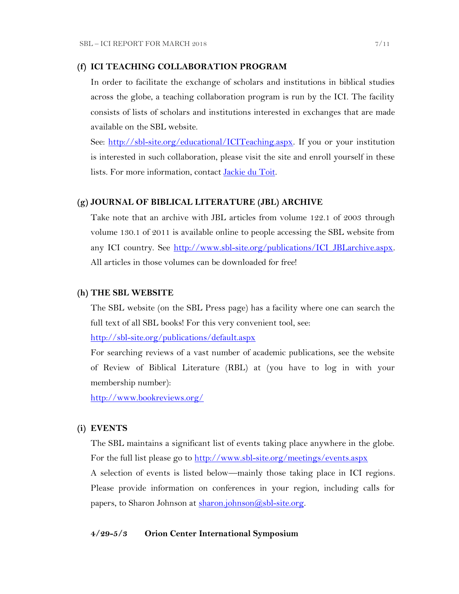#### **(f) ICI TEACHING COLLABORATION PROGRAM**

In order to facilitate the exchange of scholars and institutions in biblical studies across the globe, a teaching collaboration program is run by the ICI. The facility consists of lists of scholars and institutions interested in exchanges that are made available on the SBL website.

See: [http://sbl-site.org/educational/ICITeaching.aspx.](http://sbl-site.org/educational/ICITeaching.aspx) If you or your institution is interested in such collaboration, please visit the site and enroll yourself in these lists. For more information, contact [Jackie du Toit.](mailto:dutoitjs@ufs.ac.za)

#### **(g) JOURNAL OF BIBLICAL LITERATURE (JBL) ARCHIVE**

Take note that an archive with JBL articles from volume 122.1 of 2003 through volume 130.1 of 2011 is available online to people accessing the SBL website from any ICI country. See [http://www.sbl-site.org/publications/ICI\\_JBLarchive.aspx.](http://www.sbl-site.org/publications/ICI_JBLarchive.aspx)  All articles in those volumes can be downloaded for free!

#### **(h) THE SBL WEBSITE**

The SBL website (on the SBL Press page) has a facility where one can search the full text of all SBL books! For this very convenient tool, see:

<http://sbl-site.org/publications/default.aspx>

For searching reviews of a vast number of academic publications, see the website of Review of Biblical Literature (RBL) at (you have to log in with your membership number):

<http://www.bookreviews.org/>

#### **(i) EVENTS**

The SBL maintains a significant list of events taking place anywhere in the globe. For the full list please go to<http://www.sbl-site.org/meetings/events.aspx> A selection of events is listed below—mainly those taking place in ICI regions. Please provide information on conferences in your region, including calls for papers, to Sharon Johnson at [sharon.johnson@sbl-site.org.](mailto:sharon.johnson@sbl-site.org)

### **4/29-5/3 Orion Center International Symposium**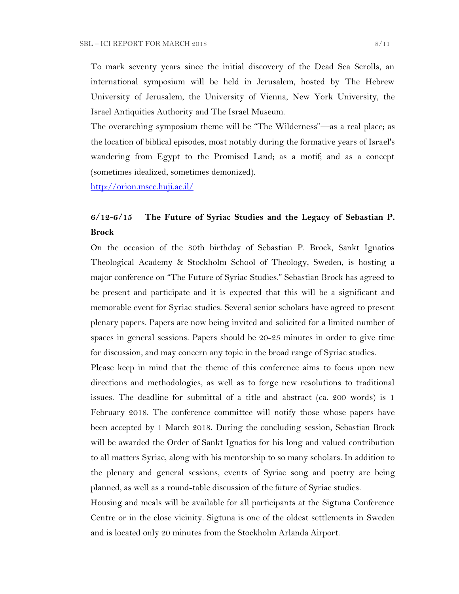To mark seventy years since the initial discovery of the Dead Sea Scrolls, an international symposium will be held in Jerusalem, hosted by The Hebrew University of Jerusalem, the University of Vienna, New York University, the Israel Antiquities Authority and The Israel Museum.

The overarching symposium theme will be "The Wilderness"—as a real place; as the location of biblical episodes, most notably during the formative years of Israel's wandering from Egypt to the Promised Land; as a motif; and as a concept (sometimes idealized, sometimes demonized).

<http://orion.mscc.huji.ac.il/>

## **6/12-6/15 The Future of Syriac Studies and the Legacy of Sebastian P. Brock**

On the occasion of the 80th birthday of Sebastian P. Brock, Sankt Ignatios Theological Academy & Stockholm School of Theology, Sweden, is hosting a major conference on "The Future of Syriac Studies." Sebastian Brock has agreed to be present and participate and it is expected that this will be a significant and memorable event for Syriac studies. Several senior scholars have agreed to present plenary papers. Papers are now being invited and solicited for a limited number of spaces in general sessions. Papers should be 20-25 minutes in order to give time for discussion, and may concern any topic in the broad range of Syriac studies.

Please keep in mind that the theme of this conference aims to focus upon new directions and methodologies, as well as to forge new resolutions to traditional issues. The deadline for submittal of a title and abstract (ca. 200 words) is 1 February 2018. The conference committee will notify those whose papers have been accepted by 1 March 2018. During the concluding session, Sebastian Brock will be awarded the Order of Sankt Ignatios for his long and valued contribution to all matters Syriac, along with his mentorship to so many scholars. In addition to the plenary and general sessions, events of Syriac song and poetry are being planned, as well as a round-table discussion of the future of Syriac studies.

Housing and meals will be available for all participants at the Sigtuna Conference Centre or in the close vicinity. Sigtuna is one of the oldest settlements in Sweden and is located only 20 minutes from the Stockholm Arlanda Airport.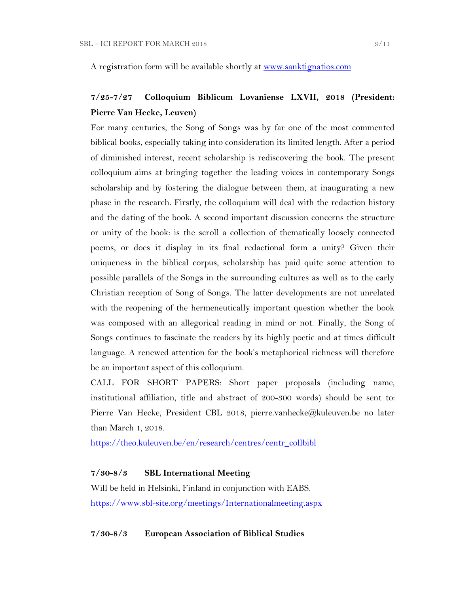A registration form will be available shortly at [www.sanktignatios.com](../Ediciones%20UCA/ICI/Ediciones%20UCA/ICI/ICI%20Newsletter%20Tebes/www.sanktignatios.com)

## **7/25-7/27 Colloquium Biblicum Lovaniense LXVII, 2018 (President: Pierre Van Hecke, Leuven)**

For many centuries, the Song of Songs was by far one of the most commented biblical books, especially taking into consideration its limited length. After a period of diminished interest, recent scholarship is rediscovering the book. The present colloquium aims at bringing together the leading voices in contemporary Songs scholarship and by fostering the dialogue between them, at inaugurating a new phase in the research. Firstly, the colloquium will deal with the redaction history and the dating of the book. A second important discussion concerns the structure or unity of the book: is the scroll a collection of thematically loosely connected poems, or does it display in its final redactional form a unity? Given their uniqueness in the biblical corpus, scholarship has paid quite some attention to possible parallels of the Songs in the surrounding cultures as well as to the early Christian reception of Song of Songs. The latter developments are not unrelated with the reopening of the hermeneutically important question whether the book was composed with an allegorical reading in mind or not. Finally, the Song of Songs continues to fascinate the readers by its highly poetic and at times difficult language. A renewed attention for the book's metaphorical richness will therefore be an important aspect of this colloquium.

CALL FOR SHORT PAPERS: Short paper proposals (including name, institutional affiliation, title and abstract of 200-300 words) should be sent to: Pierre Van Hecke, President CBL 2018, pierre.vanhecke@kuleuven.be no later than March 1, 2018.

[https://theo.kuleuven.be/en/research/centres/centr\\_collbibl](https://theo.kuleuven.be/en/research/centres/centr_collbibl)

#### **7/30-8/3 SBL International Meeting**

Will be held in Helsinki, Finland in conjunction with EABS. <https://www.sbl-site.org/meetings/Internationalmeeting.aspx>

**7/30-8/3 European Association of Biblical Studies**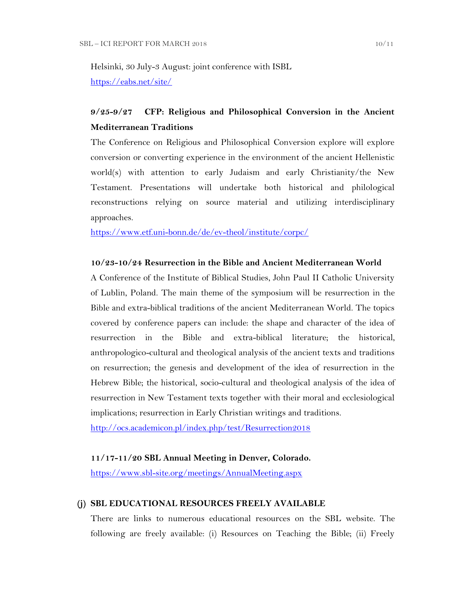Helsinki, 30 July-3 August: joint conference with ISBL <https://eabs.net/site/>

## **9/25-9/27 CFP: Religious and Philosophical Conversion in the Ancient Mediterranean Traditions**

The Conference on Religious and Philosophical Conversion explore will explore conversion or converting experience in the environment of the ancient Hellenistic world(s) with attention to early Judaism and early Christianity/the New Testament. Presentations will undertake both historical and philological reconstructions relying on source material and utilizing interdisciplinary approaches.

<https://www.etf.uni-bonn.de/de/ev-theol/institute/corpc/>

### **10/23-10/24 Resurrection in the Bible and Ancient Mediterranean World**

A Conference of the Institute of Biblical Studies, John Paul II Catholic University of Lublin, Poland. The main theme of the symposium will be resurrection in the Bible and extra-biblical traditions of the ancient Mediterranean World. The topics covered by conference papers can include: the shape and character of the idea of resurrection in the Bible and extra-biblical literature; the historical, anthropologico-cultural and theological analysis of the ancient texts and traditions on resurrection; the genesis and development of the idea of resurrection in the Hebrew Bible; the historical, socio-cultural and theological analysis of the idea of resurrection in New Testament texts together with their moral and ecclesiological implications; resurrection in Early Christian writings and traditions.

<http://ocs.academicon.pl/index.php/test/Resurrection2018>

#### **11/17-11/20 SBL Annual Meeting in Denver, Colorado.**

<https://www.sbl-site.org/meetings/AnnualMeeting.aspx>

## **(j) SBL EDUCATIONAL RESOURCES FREELY AVAILABLE**

There are links to numerous educational resources on the SBL website. The following are freely available: (i) Resources on Teaching the Bible; (ii) Freely